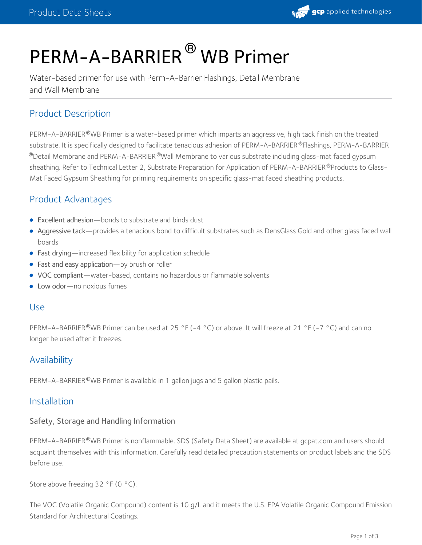

# PERM-A-BARRIER<sup>®</sup> WB Primer

Water-based primer for use with Perm-A-Barrier Flashings, Detail Membrane and Wall Membrane

# Product Description

PERM-A-BARRIER®WB Primer is a water-based primer which imparts an aggressive, high tack finish on the treated substrate. It is specifically designed to facilitate tenacious adhesion of PERM-A-BARRIER®Flashings, PERM-A-BARRIER  $^\circledR$ Detail Membrane and PERM-A-BARRIER $^\circledR$ Wall Membrane to various substrate including glass-mat faced gypsum sheathing. Refer to Technical Letter 2, Substrate Preparation for Application of PERM-A-BARRIER®Products to Glass-Mat Faced Gypsum Sheathing for priming requirements on specific glass-mat faced sheathing products.

# Product Advantages

- Excellent adhesion—bonds to substrate and binds dust
- Aggressive tack—provides a tenacious bond to difficult substrates such as DensGlass Gold and other glass faced wall boards
- Fast drying—increased flexibility for application schedule
- Fast and easy application—by brush or roller
- VOC compliant—water-based, contains no hazardous or flammable solvents
- Low odor-no noxious fumes

#### Use

PERM-A-BARRIER®WB Primer can be used at 25 °F (-4 °C) or above. It will freeze at 21 °F (-7 °C) and can no longer be used after it freezes.

# **Availability**

PERM-A-BARRIER®WB Primer is available in 1 gallon jugs and 5 gallon plastic pails.

## Installation

#### Safety, Storage and Handling Information

PERM-A-BARRIER®WB Primer is nonflammable. SDS [\(Safety](https://gcpat.com/sites/gcpat.com/files/2019-02/SD60142_-_PERM-A-BARRIER%20WB%20Primer_%2528USGHS%2529_2.pdf) Data Sheet) are available at gcpat.com and users should acquaint themselves with this information. Carefully read detailed precaution statements on product labels and the SDS before use.

Store above freezing 32 °F (0 °C).

The VOC (Volatile Organic Compound) content is 10 g/L and it meets the U.S. EPA Volatile Organic Compound Emission Standard for Architectural Coatings.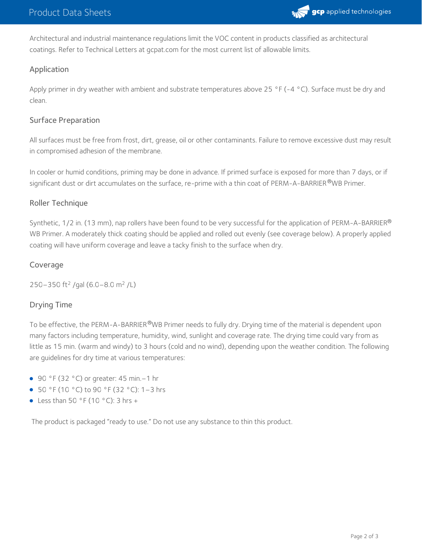

Architectural and industrial maintenance regulations limit the VOC content in products classified as architectural coatings. Refer to Technical Letters at gcpat.com for the most current list of allowable limits.

### Application

Apply primer in dry weather with ambient and substrate temperatures above 25 °F (-4 °C). Surface must be dry and clean.

#### Surface Preparation

All surfaces must be free from frost, dirt, grease, oil or other contaminants. Failure to remove excessive dust may result in compromised adhesion of the membrane.

In cooler or humid conditions, priming may be done in advance. If primed surface is exposed for more than 7 days, or if significant dust or dirt accumulates on the surface, re-prime with a thin coat of PERM-A-BARRIER®WB Primer.

#### Roller Technique

Synthetic, 1/2 in. (13 mm), nap rollers have been found to be very successful for the application of PERM-A-BARRIER $^\circ$ WB Primer. A moderately thick coating should be applied and rolled out evenly (see coverage below). A properly applied coating will have uniform coverage and leave a tacky finish to the surface when dry.

#### Coverage

250–350 ft<sup>2</sup> /gal (6.0–8.0 m<sup>2</sup> /L)

## Drying Time

To be effective, the PERM-A-BARRIER®WB Primer needs to fully dry. Drying time of the material is dependent upon many factors including temperature, humidity, wind, sunlight and coverage rate. The drying time could vary from as little as 15 min. (warm and windy) to 3 hours (cold and no wind), depending upon the weather condition. The following are guidelines for dry time at various temperatures:

- 90 °F (32 °C) or greater: 45 min. 1 hr
- 50 °F (10 °C) to 90 °F (32 °C): 1–3 hrs
- Less than 50 °F (10 °C): 3 hrs +

The product is packaged "ready to use." Do not use any substance to thin this product.